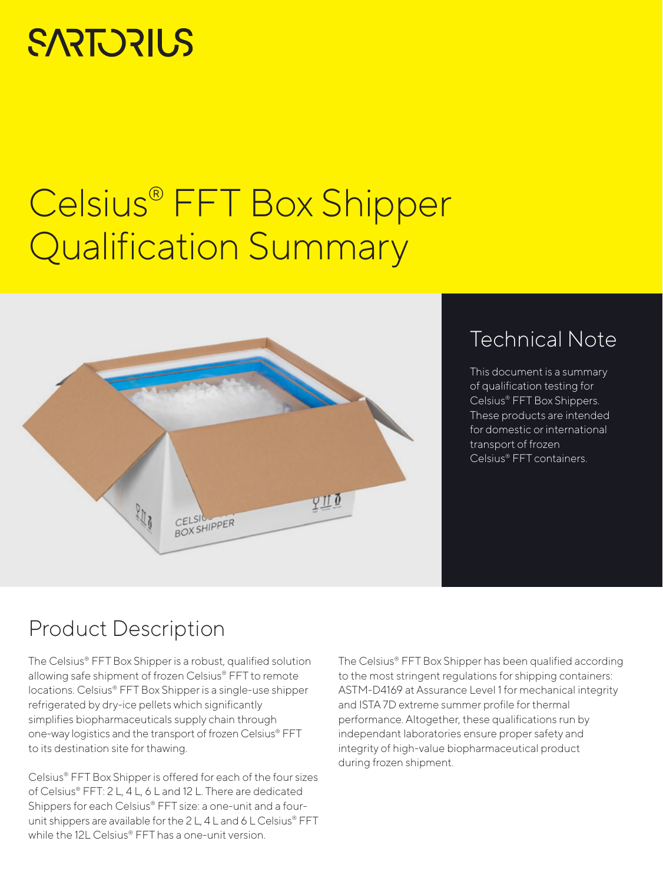# **SARTORILS**

# Celsius® FFT Box Shipper Qualification Summary



# Technical Note

This document is a summary of qualification testing for Celsius® FFT Box Shippers. These products are intended for domestic or international transport of frozen Celsius® FFT containers.

## Product Description

The Celsius® FFT Box Shipper is a robust, qualified solution allowing safe shipment of frozen Celsius® FFT to remote locations. Celsius® FFT Box Shipper is a single-use shipper refrigerated by dry-ice pellets which significantly simplifies biopharmaceuticals supply chain through one-way logistics and the transport of frozen Celsius® FFT to its destination site for thawing.

Celsius® FFT Box Shipper is offered for each of the four sizes of Celsius® FFT: 2 L, 4 L, 6 L and 12 L. There are dedicated Shippers for each Celsius® FFT size: a one-unit and a fourunit shippers are available for the 2L, 4L and 6L Celsius® FFT while the 12L Celsius® FFT has a one-unit version.

The Celsius® FFT Box Shipper has been qualified according to the most stringent regulations for shipping containers: ASTM-D4169 at Assurance Level 1 for mechanical integrity and ISTA 7D extreme summer profile for thermal performance. Altogether, these qualifications run by independant laboratories ensure proper safety and integrity of high-value biopharmaceutical product during frozen shipment.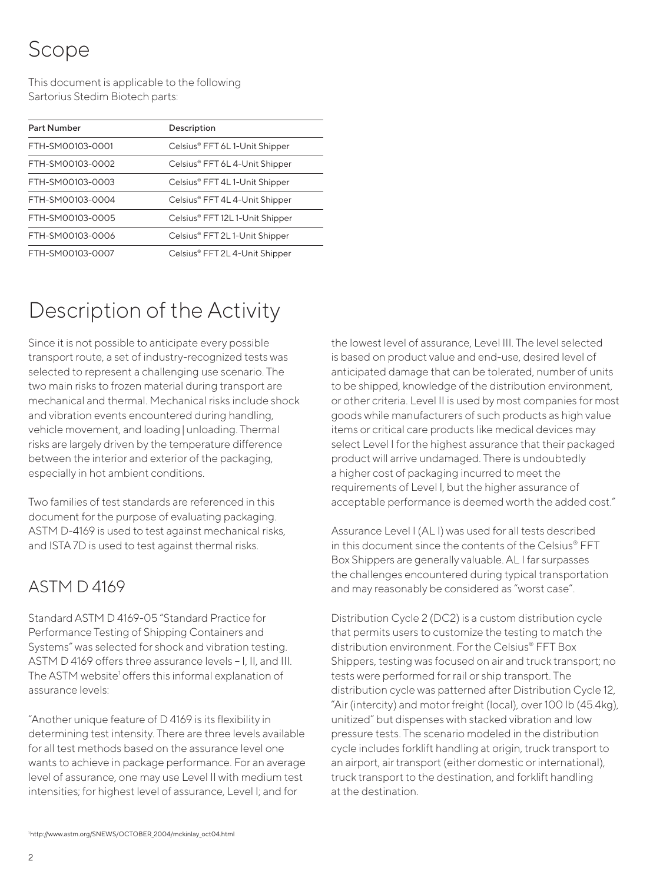# Scope

This document is applicable to the following Sartorius Stedim Biotech parts:

| Description                     |
|---------------------------------|
| Celsius® FFT 6L1-Unit Shipper   |
| Celsius® FFT 6L 4-Unit Shipper  |
| Celsius® FFT 4L 1-Unit Shipper  |
| Celsius® FFT 4L 4-Unit Shipper  |
| Celsius® FFT 12L 1-Unit Shipper |
| Celsius® FFT 2L1-Unit Shipper   |
| Celsius® FFT 2L 4-Unit Shipper  |
|                                 |

# Description of the Activity

Since it is not possible to anticipate every possible transport route, a set of industry-recognized tests was selected to represent a challenging use scenario. The two main risks to frozen material during transport are mechanical and thermal. Mechanical risks include shock and vibration events encountered during handling, vehicle movement, and loading|unloading. Thermal risks are largely driven by the temperature difference between the interior and exterior of the packaging, especially in hot ambient conditions.

Two families of test standards are referenced in this document for the purpose of evaluating packaging. ASTM D-4169 is used to test against mechanical risks, and ISTA 7D is used to test against thermal risks.

## ASTM D 4169

Standard ASTM D 4169-05 "Standard Practice for Performance Testing of Shipping Containers and Systems" was selected for shock and vibration testing. ASTM D 4169 offers three assurance levels – I, II, and III. The ASTM website<sup>1</sup> offers this informal explanation of assurance levels:

"Another unique feature of D 4169 is its flexibility in determining test intensity. There are three levels available for all test methods based on the assurance level one wants to achieve in package performance. For an average level of assurance, one may use Level II with medium test intensities; for highest level of assurance, Level I; and for

the lowest level of assurance, Level III. The level selected is based on product value and end-use, desired level of anticipated damage that can be tolerated, number of units to be shipped, knowledge of the distribution environment, or other criteria. Level II is used by most companies for most goods while manufacturers of such products as high value items or critical care products like medical devices may select Level I for the highest assurance that their packaged product will arrive undamaged. There is undoubtedly a higher cost of packaging incurred to meet the requirements of Level I, but the higher assurance of acceptable performance is deemed worth the added cost."

Assurance Level I (AL I) was used for all tests described in this document since the contents of the Celsius® FFT Box Shippers are generally valuable. AL I far surpasses the challenges encountered during typical transportation and may reasonably be considered as "worst case".

Distribution Cycle 2 (DC2) is a custom distribution cycle that permits users to customize the testing to match the distribution environment. For the Celsius® FFT Box Shippers, testing was focused on air and truck transport; no tests were performed for rail or ship transport. The distribution cycle was patterned after Distribution Cycle 12, "Air (intercity) and motor freight (local), over 100 lb (45.4kg), unitized" but dispenses with stacked vibration and low pressure tests. The scenario modeled in the distribution cycle includes forklift handling at origin, truck transport to an airport, air transport (either domestic or international), truck transport to the destination, and forklift handling at the destination.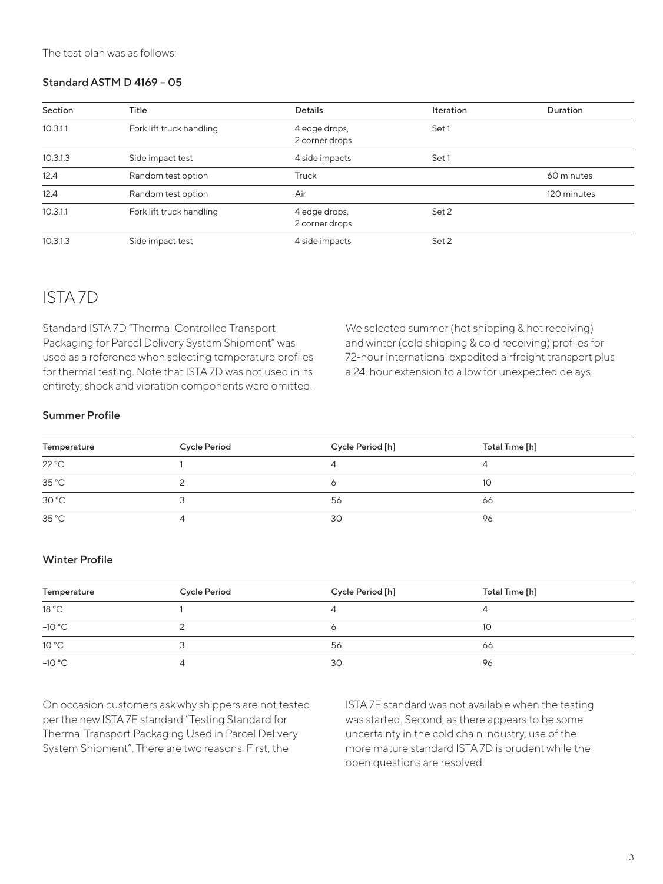### Standard ASTM D 4169 – 05

| Section  | Title                    | <b>Details</b>                  | Iteration | Duration    |
|----------|--------------------------|---------------------------------|-----------|-------------|
| 10.3.1.1 | Fork lift truck handling | 4 edge drops,<br>2 corner drops | Set 1     |             |
| 10.3.1.3 | Side impact test         | 4 side impacts                  | Set 1     |             |
| 12.4     | Random test option       | Truck                           |           | 60 minutes  |
| 12.4     | Random test option       | Air                             |           | 120 minutes |
| 10.3.1.1 | Fork lift truck handling | 4 edge drops,<br>2 corner drops | Set 2     |             |
| 10.3.1.3 | Side impact test         | 4 side impacts                  | Set 2     |             |

### ISTA 7D

Standard ISTA 7D "Thermal Controlled Transport Packaging for Parcel Delivery System Shipment" was used as a reference when selecting temperature profiles for thermal testing. Note that ISTA 7D was not used in its entirety; shock and vibration components were omitted. We selected summer (hot shipping & hot receiving) and winter (cold shipping & cold receiving) profiles for 72-hour international expedited airfreight transport plus a 24-hour extension to allow for unexpected delays.

#### Summer Profile

| Temperature    | <b>Cycle Period</b> | Cycle Period [h] | Total Time [h] |  |
|----------------|---------------------|------------------|----------------|--|
| 22 °C          |                     |                  |                |  |
| $35^{\circ}$ C |                     |                  | 10             |  |
| 30 °C          |                     | 56               | 66             |  |
| $35^{\circ}$ C |                     | 30               | 96             |  |

#### Winter Profile

| Temperature | <b>Cycle Period</b> | Cycle Period [h] | Total Time [h] |
|-------------|---------------------|------------------|----------------|
| 18 °C       |                     |                  |                |
| $-10 °C$    |                     |                  | 10             |
| 10 °C       |                     | 56               | 66             |
| $-10 °C$    |                     | 30               | 96             |

On occasion customers ask why shippers are not tested per the new ISTA 7E standard "Testing Standard for Thermal Transport Packaging Used in Parcel Delivery System Shipment". There are two reasons. First, the

ISTA 7E standard was not available when the testing was started. Second, as there appears to be some uncertainty in the cold chain industry, use of the more mature standard ISTA 7D is prudent while the open questions are resolved.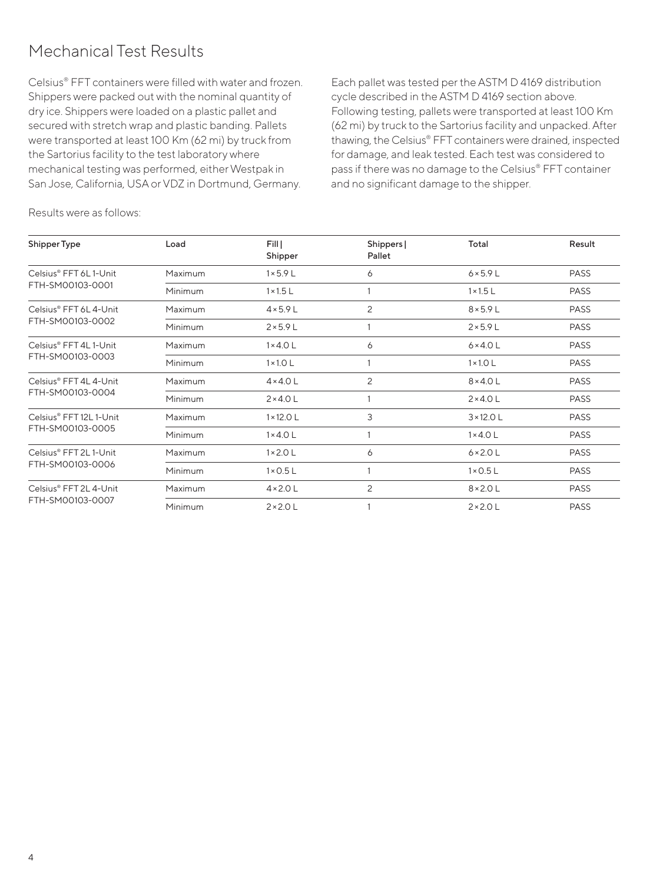## Mechanical Test Results

Celsius® FFT containers were filled with water and frozen. Shippers were packed out with the nominal quantity of dry ice. Shippers were loaded on a plastic pallet and secured with stretch wrap and plastic banding. Pallets were transported at least 100 Km (62 mi) by truck from the Sartorius facility to the test laboratory where mechanical testing was performed, either Westpak in San Jose, California, USA or VDZ in Dortmund, Germany.

Each pallet was tested per the ASTM D 4169 distribution cycle described in the ASTM D 4169 section above. Following testing, pallets were transported at least 100 Km (62 mi) by truck to the Sartorius facility and unpacked. After thawing, the Celsius® FFT containers were drained, inspected for damage, and leak tested. Each test was considered to pass if there was no damage to the Celsius® FFT container and no significant damage to the shipper.

Results were as follows:

| Shipper Type                                | Load    |                   |                      |                   |             |
|---------------------------------------------|---------|-------------------|----------------------|-------------------|-------------|
|                                             |         | Fill  <br>Shipper | Shippers  <br>Pallet | Total             | Result      |
| Celsius® FFT 6L1-Unit<br>FTH-SM00103-0001   | Maximum | $1 \times 5.9$ L  | 6                    | $6 \times 5.9$ L  | <b>PASS</b> |
|                                             | Minimum | $1 \times 1.5$ L  |                      | $1 \times 1.5$ L  | <b>PASS</b> |
| Celsius® FFT 6L 4-Unit                      | Maximum | $4 \times 5.9$ L  | 2                    | $8 \times 5.9$ L  | <b>PASS</b> |
| FTH-SM00103-0002                            | Minimum | $2 \times 5.9$ L  |                      | $2 \times 5.9$ L  | <b>PASS</b> |
| Celsius® FFT 4L 1-Unit<br>FTH-SM00103-0003  | Maximum | $1 \times 4.0$ L  | 6                    | $6 \times 4.0$ L  | <b>PASS</b> |
|                                             | Minimum | $1 \times 1.0$ L  |                      | $1 \times 1.0$ L  | <b>PASS</b> |
| Celsius® FFT 4L 4-Unit<br>FTH-SM00103-0004  | Maximum | $4 \times 4.0$ L  | 2                    | $8 \times 4.0$ L  | <b>PASS</b> |
|                                             | Minimum | $2 \times 4.0$ L  |                      | $2 \times 4.0$ L  | <b>PASS</b> |
| Celsius® FFT 12L 1-Unit<br>FTH-SM00103-0005 | Maximum | $1 \times 12.0$ L | 3                    | $3 \times 12.0$ L | <b>PASS</b> |
|                                             | Minimum | $1 \times 4.0$ L  |                      | $1 \times 4.0$ L  | <b>PASS</b> |
| Celsius® FFT 2L1-Unit<br>FTH-SM00103-0006   | Maximum | $1 \times 2.0$ L  | 6                    | $6 \times 2.0$ L  | <b>PASS</b> |
|                                             | Minimum | $1 \times 0.5$ L  |                      | $1 \times 0.5$ L  | <b>PASS</b> |
| Celsius® FFT 2L 4-Unit<br>FTH-SM00103-0007  | Maximum | $4 \times 2.0$ L  | 2                    | $8 \times 2.0$ L  | <b>PASS</b> |
|                                             | Minimum | $2 \times 2.0$ L  |                      | $2 \times 2.0$ L  | <b>PASS</b> |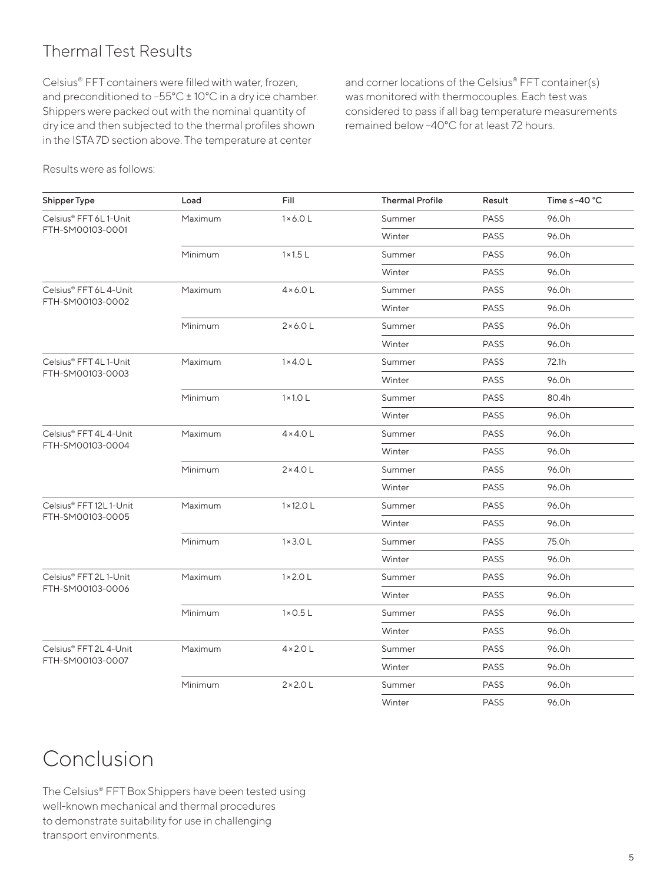## Thermal Test Results

Celsius® FFT containers were filled with water, frozen, and preconditioned to –55°C ± 10°C in a dry ice chamber. Shippers were packed out with the nominal quantity of dry ice and then subjected to the thermal profiles shown in the ISTA 7D section above. The temperature at center

and corner locations of the Celsius® FFT container(s) was monitored with thermocouples. Each test was considered to pass if all bag temperature measurements remained below –40°C for at least 72 hours.

Results were as follows:

| Shipper Type            | Load    | Fill              | <b>Thermal Profile</b> | Result      | Time $\leq -40$ °C |
|-------------------------|---------|-------------------|------------------------|-------------|--------------------|
| Celsius® FFT 6L1-Unit   | Maximum | $1 \times 6.0$ L  | Summer                 | <b>PASS</b> | 96.0h              |
| FTH-SM00103-0001        |         |                   | Winter                 | <b>PASS</b> | 96.0h              |
|                         | Minimum | $1 \times 1.5$ L  | Summer                 | <b>PASS</b> | 96.0h              |
|                         |         |                   | Winter                 | <b>PASS</b> | 96.0h              |
| Celsius® FFT 6L 4-Unit  | Maximum | $4 \times 6.0$ L  | Summer                 | <b>PASS</b> | 96.0h              |
| FTH-SM00103-0002        |         |                   | Winter                 | <b>PASS</b> | 96.0h              |
|                         | Minimum | $2 \times 6.0$ L  | Summer                 | <b>PASS</b> | 96.0h              |
|                         |         |                   | Winter                 | <b>PASS</b> | 96.0h              |
| Celsius® FFT 4L 1-Unit  | Maximum | $1 \times 4.0$ L  | Summer                 | <b>PASS</b> | 72.1h              |
| FTH-SM00103-0003        |         |                   | Winter                 | <b>PASS</b> | 96.0h              |
|                         | Minimum | $1 \times 1.0$ L  | Summer                 | <b>PASS</b> | 80.4h              |
|                         |         |                   | Winter                 | <b>PASS</b> | 96.0h              |
| Celsius® FFT 4L 4-Unit  | Maximum | $4 \times 4.0$ L  | Summer                 | <b>PASS</b> | 96.0h              |
| FTH-SM00103-0004        |         |                   | Winter                 | <b>PASS</b> | 96.0h              |
|                         | Minimum | $2 \times 4.0$ L  | Summer                 | <b>PASS</b> | 96.Oh              |
|                         |         |                   | Winter                 | <b>PASS</b> | 96.0h              |
| Celsius® FFT 12L 1-Unit | Maximum | $1 \times 12.0$ L | Summer                 | <b>PASS</b> | 96.0h              |
| FTH-SM00103-0005        |         |                   | Winter                 | <b>PASS</b> | 96.0h              |
|                         | Minimum | $1 \times 3.0$ L  | Summer                 | <b>PASS</b> | 75.0h              |
|                         |         |                   | Winter                 | <b>PASS</b> | 96.Oh              |
| Celsius® FFT 2L1-Unit   | Maximum | $1 \times 2.0$ L  | Summer                 | <b>PASS</b> | 96.0h              |
| FTH-SM00103-0006        |         |                   | Winter                 | <b>PASS</b> | 96.0h              |
|                         | Minimum | $1 \times 0.5$ L  | Summer                 | <b>PASS</b> | 96.0h              |
|                         |         |                   | Winter                 | <b>PASS</b> | 96.0h              |
| Celsius® FFT 2L 4-Unit  | Maximum | $4 \times 2.0$ L  | Summer                 | <b>PASS</b> | 96.Oh              |
| FTH-SM00103-0007        |         |                   | Winter                 | <b>PASS</b> | 96.0h              |
|                         | Minimum | $2 \times 2.0$ L  | Summer                 | <b>PASS</b> | 96.0h              |
|                         |         |                   | Winter                 | <b>PASS</b> | 96.0h              |

## Conclusion

The Celsius® FFT Box Shippers have been tested using well-known mechanical and thermal procedures to demonstrate suitability for use in challenging transport environments.